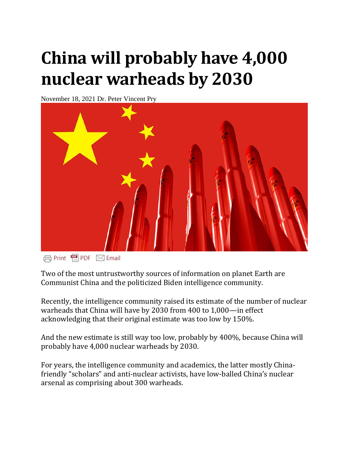## **China will probably have 4,000 nuclear warheads by 2030**

November 18, 2021 Dr. Peter Vincent Pry



**日Print** 图PDF ⊠ Email

Two of the most untrustworthy sources of information on planet Earth are Communist China and the politicized Biden intelligence community.

Recently, the intelligence community raised its estimate of the number of nuclear warheads that China will have by 2030 from 400 to 1,000—in effect acknowledging that their original estimate was too low by 150%.

And the new estimate is still way too low, probably by 400%, because China will probably have 4,000 nuclear warheads by 2030.

For years, the intelligence community and academics, the latter mostly Chinafriendly "scholars" and anti-nuclear activists, have low-balled China's nuclear arsenal as comprising about 300 warheads.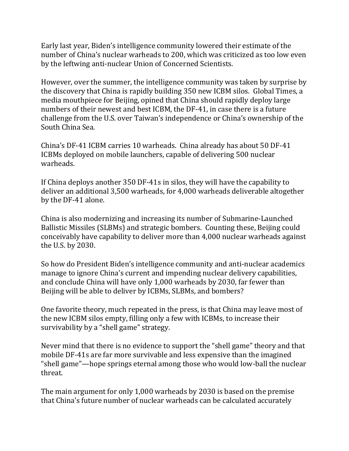Early last year, Biden's intelligence community lowered their estimate of the number of China's nuclear warheads to 200, which was criticized as too low even by the leftwing anti-nuclear Union of Concerned Scientists.

However, over the summer, the intelligence community was taken by surprise by the discovery that China is rapidly building 350 new ICBM silos. Global Times, a media mouthpiece for Beijing, opined that China should rapidly deploy large numbers of their newest and best ICBM, the DF-41, in case there is a future challenge from the U.S. over Taiwan's independence or China's ownership of the South China Sea.

China's DF-41 ICBM carries 10 warheads. China already has about 50 DF-41 ICBMs deployed on mobile launchers, capable of delivering 500 nuclear warheads.

If China deploys another 350 DF-41s in silos, they will have the capability to deliver an additional 3,500 warheads, for 4,000 warheads deliverable altogether by the DF-41 alone.

China is also modernizing and increasing its number of Submarine-Launched Ballistic Missiles (SLBMs) and strategic bombers. Counting these, Beijing could conceivably have capability to deliver more than 4,000 nuclear warheads against the U.S. by 2030.

So how do President Biden's intelligence community and anti-nuclear academics manage to ignore China's current and impending nuclear delivery capabilities, and conclude China will have only 1,000 warheads by 2030, far fewer than Beijing will be able to deliver by ICBMs, SLBMs, and bombers?

One favorite theory, much repeated in the press, is that China may leave most of the new ICBM silos empty, filling only a few with ICBMs, to increase their survivability by a "shell game" strategy.

Never mind that there is no evidence to support the "shell game" theory and that mobile DF-41s are far more survivable and less expensive than the imagined "shell game"—hope springs eternal among those who would low-ball the nuclear threat.

The main argument for only 1,000 warheads by 2030 is based on the premise that China's future number of nuclear warheads can be calculated accurately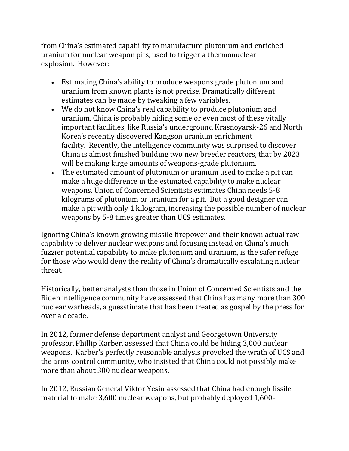from China's estimated capability to manufacture plutonium and enriched uranium for nuclear weapon pits, used to trigger a thermonuclear explosion. However:

- Estimating China's ability to produce weapons grade plutonium and uranium from known plants is not precise. Dramatically different estimates can be made by tweaking a few variables.
- We do not know China's real capability to produce plutonium and uranium. China is probably hiding some or even most of these vitally important facilities, like Russia's underground Krasnoyarsk-26 and North Korea's recently discovered Kangson uranium enrichment facility. Recently, the intelligence community was surprised to discover China is almost finished building two new breeder reactors, that by 2023 will be making large amounts of weapons-grade plutonium.
- The estimated amount of plutonium or uranium used to make a pit can make a huge difference in the estimated capability to make nuclear weapons. Union of Concerned Scientists estimates China needs 5-8 kilograms of plutonium or uranium for a pit. But a good designer can make a pit with only 1 kilogram, increasing the possible number of nuclear weapons by 5-8 times greater than UCS estimates.

Ignoring China's known growing missile firepower and their known actual raw capability to deliver nuclear weapons and focusing instead on China's much fuzzier potential capability to make plutonium and uranium, is the safer refuge for those who would deny the reality of China's dramatically escalating nuclear threat.

Historically, better analysts than those in Union of Concerned Scientists and the Biden intelligence community have assessed that China has many more than 300 nuclear warheads, a guesstimate that has been treated as gospel by the press for over a decade.

In 2012, former defense department analyst and Georgetown University professor, Phillip Karber, assessed that China could be hiding 3,000 nuclear weapons. Karber's perfectly reasonable analysis provoked the wrath of UCS and the arms control community, who insisted that China could not possibly make more than about 300 nuclear weapons.

In 2012, Russian General Viktor Yesin assessed that China had enough fissile material to make 3,600 nuclear weapons, but probably deployed 1,600-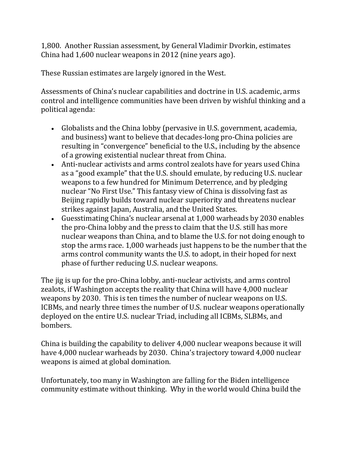1,800. Another Russian assessment, by General Vladimir Dvorkin, estimates China had 1,600 nuclear weapons in 2012 (nine years ago).

These Russian estimates are largely ignored in the West.

Assessments of China's nuclear capabilities and doctrine in U.S. academic, arms control and intelligence communities have been driven by wishful thinking and a political agenda:

- Globalists and the China lobby (pervasive in U.S. government, academia, and business) want to believe that decades-long pro-China policies are resulting in "convergence" beneficial to the U.S., including by the absence of a growing existential nuclear threat from China.
- Anti-nuclear activists and arms control zealots have for years used China as a "good example" that the U.S. should emulate, by reducing U.S. nuclear weapons to a few hundred for Minimum Deterrence, and by pledging nuclear "No First Use." This fantasy view of China is dissolving fast as Beijing rapidly builds toward nuclear superiority and threatens nuclear strikes against Japan, Australia, and the United States.
- Guesstimating China's nuclear arsenal at 1,000 warheads by 2030 enables the pro-China lobby and the press to claim that the U.S. still has more nuclear weapons than China, and to blame the U.S. for not doing enough to stop the arms race. 1,000 warheads just happens to be the number that the arms control community wants the U.S. to adopt, in their hoped for next phase of further reducing U.S. nuclear weapons.

The jig is up for the pro-China lobby, anti-nuclear activists, and arms control zealots, if Washington accepts the reality that China will have 4,000 nuclear weapons by 2030. This is ten times the number of nuclear weapons on U.S. ICBMs, and nearly three times the number of U.S. nuclear weapons operationally deployed on the entire U.S. nuclear Triad, including all ICBMs, SLBMs, and bombers.

China is building the capability to deliver 4,000 nuclear weapons because it will have 4,000 nuclear warheads by 2030. China's trajectory toward 4,000 nuclear weapons is aimed at global domination.

Unfortunately, too many in Washington are falling for the Biden intelligence community estimate without thinking. Why in the world would China build the